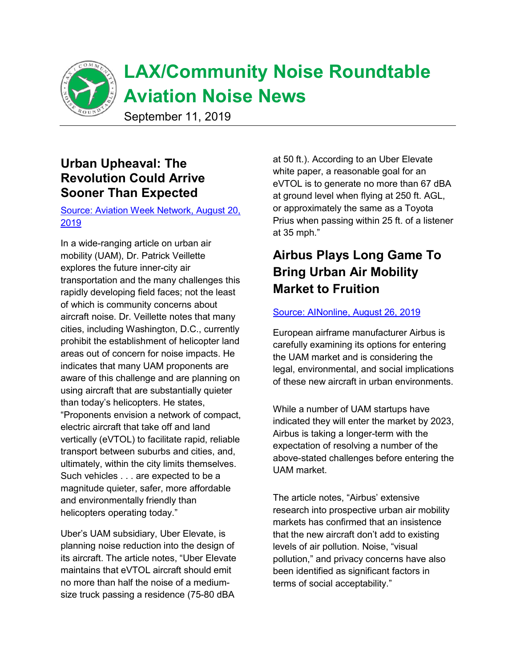

## **Urban Upheaval: The Revolution Could Arrive Sooner Than Expected**

### Source: Aviation Week Network, August 20, 2019

In a wide-ranging article on urban air mobility (UAM), Dr. Patrick Veillette explores the future inner-city air transportation and the many challenges this rapidly developing field faces; not the least of which is community concerns about aircraft noise. Dr. Veillette notes that many cities, including Washington, D.C., currently prohibit the establishment of helicopter land areas out of concern for noise impacts. He indicates that many UAM proponents are aware of this challenge and are planning on using aircraft that are substantially quieter than today's helicopters. He states, "Proponents envision a network of compact, electric aircraft that take off and land vertically (eVTOL) to facilitate rapid, reliable transport between suburbs and cities, and, ultimately, within the city limits themselves. Such vehicles . . . are expected to be a magnitude quieter, safer, more affordable and environmentally friendly than helicopters operating today."

Uber's UAM subsidiary, Uber Elevate, is planning noise reduction into the design of its aircraft. The article notes, "Uber Elevate maintains that eVTOL aircraft should emit no more than half the noise of a mediumsize truck passing a residence (75-80 dBA

at 50 ft.). According to an Uber Elevate white paper, a reasonable goal for an eVTOL is to generate no more than 67 dBA at ground level when flying at 250 ft. AGL, or approximately the same as a Toyota Prius when passing within 25 ft. of a listener at 35 mph."

# **Airbus Plays Long Game To Bring Urban Air Mobility Market to Fruition**

#### Source: AINonline, August 26, 2019

European airframe manufacturer Airbus is carefully examining its options for entering the UAM market and is considering the legal, environmental, and social implications of these new aircraft in urban environments.

While a number of UAM startups have indicated they will enter the market by 2023, Airbus is taking a longer-term with the expectation of resolving a number of the above-stated challenges before entering the UAM market.

The article notes, "Airbus' extensive research into prospective urban air mobility markets has confirmed that an insistence that the new aircraft don't add to existing levels of air pollution. Noise, "visual pollution," and privacy concerns have also been identified as significant factors in terms of social acceptability."